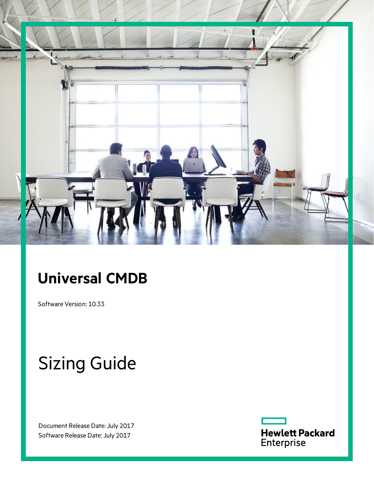

# **Universal CMDB**

Software Version: 10.33

# Sizing Guide

Document Release Date: July 2017 Software Release Date: July 2017

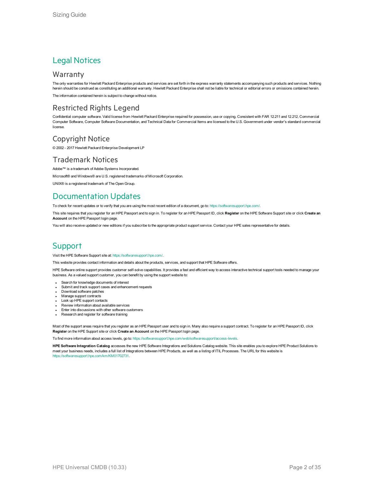### Legal Notices

### **Warranty**

The only warranties for Hewlett Packard Enterprise products and services are set forth in the express warranty statements accompanying such products and services. Nothing herein should be construed as constituting an additional warranty. Hewlett Packard Enterprise shall not be liable for technical or editorial errors or omissions contained herein.

The information contained herein is subject to change without notice.

### Restricted Rights Legend

Confidential computer software. Valid license from Hewlett Packard Enterprise required for possession, use or copying. Consistent with FAR 12.211 and 12.212, Commercial Computer Software, Computer Software Documentation, and Technical Data for Commercial Items are licensed to the U.S. Government under vendor's standard commercial license.

### Copyright Notice

© 2002 - 2017 Hewlett Packard Enterprise Development LP

### Trademark Notices

Adobe™ is a trademark of Adobe Systems Incorporated. Microsoft® and Windows® are U.S. registered trademarks of Microsoft Corporation. UNIX® is a registered trademark of The Open Group.

### Documentation Updates

To check for recent updates or to verify that you are using the most recent edition of a document, go to: <https://softwaresupport.hpe.com/>.

This site requires that you register for an HPE Passport and to sign in. To register for an HPE Passport ID, click **Register** on the HPE Software Support site or click **Create an Account** on the HPE Passport login page.

You will also receive updated or new editions if you subscribe to the appropriate product support service. Contact your HPE sales representative for details.

### **Support**

Visit the HPE Software Support site at: <https://softwaresupport.hpe.com/>.

This website provides contact information and details about the products, services, and support that HPE Software offers.

HPE Software online support provides customer self-solve capabilities. It provides a fast and efficient way to access interactive technical support tools needed to manage your business. As a valued support customer, you can benefit by using the support website to:

- Search for knowledge documents of interest
- Submit and track support cases and enhancement requests
- Download software patches
- **Manage support contracts**
- Look up HPE support contacts
- Review information about available services Enter into discussions with other software customers
- Research and register for software training

Most of the support areas require that you register as an HPE Passport user and to sign in. Many also require a support contract. To register for an HPE Passport ID, click **Register** on the HPE Support site or click **Create an Account** on the HPE Passport login page.

To find more information about access levels, go to: <https://softwaresupport.hpe.com/web/softwaresupport/access-levels>.

**HPE Software Integration Catalog** accesses the new HPE Software Integrations and Solutions Catalog website. This site enables you to explore HPE Product Solutions to meet your business needs, includes a full list of Integrations between HPE Products, as well as a listing of ITIL Processes. The URL for this website is [https://softwaresupport.hpe.com/km/KM01702731.](https://softwaresupport.hpe.com/km/KM01702731)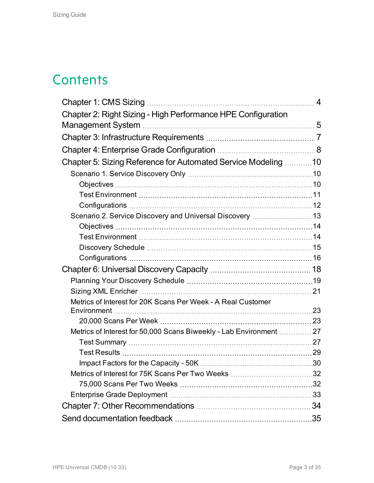## **Contents**

|                                                                    | $\overline{4}$ |
|--------------------------------------------------------------------|----------------|
| Chapter 2: Right Sizing - High Performance HPE Configuration       |                |
|                                                                    |                |
|                                                                    |                |
|                                                                    |                |
| Chapter 5: Sizing Reference for Automated Service Modeling 10      |                |
|                                                                    |                |
|                                                                    |                |
|                                                                    |                |
|                                                                    |                |
| Scenario 2. Service Discovery and Universal Discovery  13          |                |
|                                                                    |                |
|                                                                    |                |
|                                                                    |                |
|                                                                    |                |
|                                                                    |                |
|                                                                    |                |
|                                                                    |                |
| Metrics of Interest for 20K Scans Per Week - A Real Customer       |                |
|                                                                    |                |
| Metrics of Interest for 50,000 Scans Biweekly - Lab Environment 27 |                |
|                                                                    |                |
|                                                                    |                |
|                                                                    |                |
|                                                                    |                |
|                                                                    |                |
|                                                                    |                |
|                                                                    |                |
|                                                                    |                |
|                                                                    |                |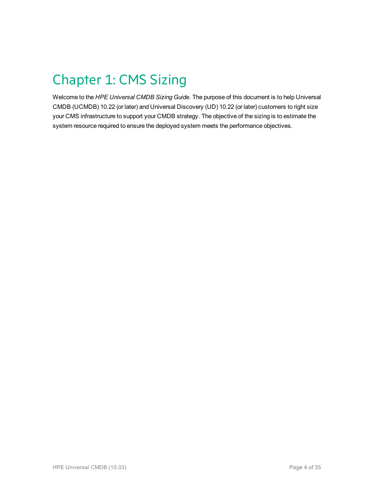# <span id="page-3-0"></span>Chapter 1: CMS Sizing

Welcome to the *HPE Universal CMDB Sizing Guide*. The purpose of this document is to help Universal CMDB (UCMDB) 10.22 (or later) and Universal Discovery (UD) 10.22 (or later) customers to right size your CMS infrastructure to support your CMDB strategy. The objective of the sizing is to estimate the system resource required to ensure the deployed system meets the performance objectives.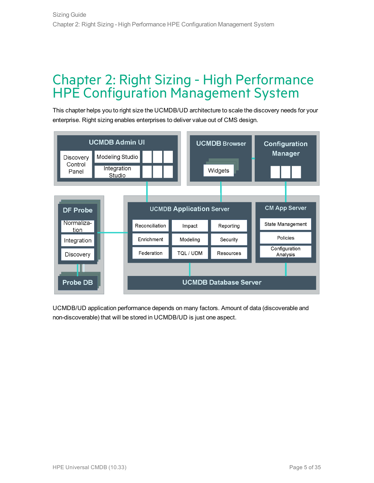## <span id="page-4-0"></span>Chapter 2: Right Sizing - High Performance HPE Configuration Management System

This chapter helps you to right size the UCMDB/UD architecture to scale the discovery needs for your enterprise. Right sizing enables enterprises to deliver value out of CMS design.



UCMDB/UD application performance depends on many factors. Amount of data (discoverable and non-discoverable) that will be stored in UCMDB/UD is just one aspect.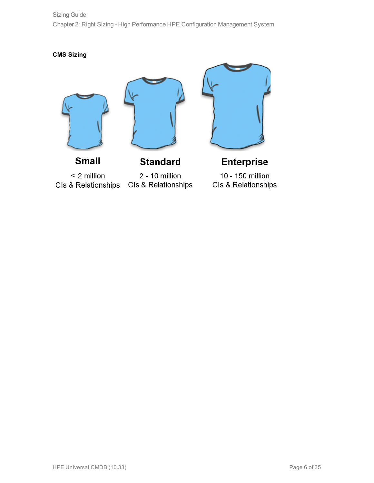Sizing Guide Chapter 2: Right Sizing - High Performance HPE Configuration Management System

**CMS Sizing**







 $<$  2 million CIs & Relationships

**Small** 

**Standard** 

2 - 10 million CIs & Relationships

**Enterprise** 10 - 150 million Cls & Relationships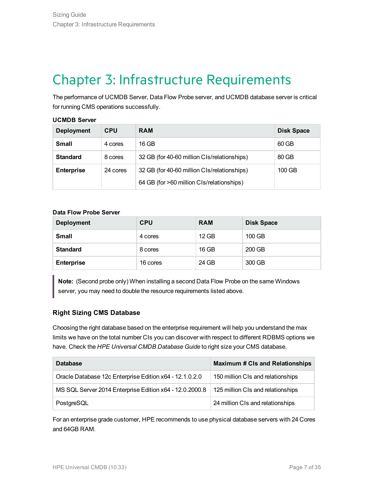## <span id="page-6-0"></span>Chapter 3: Infrastructure Requirements

The performance of UCMDB Server, Data Flow Probe server, and UCMDB database server is critical for running CMS operations successfully.

#### **UCMDB Server**

| <b>Deployment</b> | CPU      | <b>RAM</b>                                  | <b>Disk Space</b> |
|-------------------|----------|---------------------------------------------|-------------------|
| <b>Small</b>      | 4 cores  | 16 GB                                       | 60 GB             |
| <b>Standard</b>   | 8 cores  | 32 GB (for 40-60 million CIs/relationships) | 80 GB             |
| <b>Enterprise</b> | 24 cores | 32 GB (for 40-60 million CIs/relationships) | 100 GB            |
|                   |          | 64 GB (for >60 million CIs/relationships)   |                   |

#### **Data Flow Probe Server**

| <b>Deployment</b> | <b>CPU</b> | <b>RAM</b> | <b>Disk Space</b> |
|-------------------|------------|------------|-------------------|
| <b>Small</b>      | 4 cores    | $12$ GB    | 100 GB            |
| <b>Standard</b>   | 8 cores    | 16 GB      | 200 GB            |
| <b>Enterprise</b> | 16 cores   | 24 GB      | 300 GB            |

**Note:** (Second probe only) When installing a second Data Flow Probe on the same Windows server, you may need to double the resource requirements listed above.

### **Right Sizing CMS Database**

Choosing the right database based on the enterprise requirement will help you understand the max limits we have on the total number CIs you can discover with respect to different RDBMS options we have. Check the *HPE Universal CMDB Database Guide* to right size your CMS database.

| <b>Database</b>                                         | <b>Maximum # CIs and Relationships</b> |
|---------------------------------------------------------|----------------------------------------|
| Oracle Database 12c Enterprise Edition x64 - 12.1.0.2.0 | 150 million CIs and relationships      |
| MS SQL Server 2014 Enterprise Edition x64 - 12.0.2000.8 | 125 million CIs and relationships      |
| PostgreSQL                                              | 24 million CIs and relationships       |

For an enterprise grade customer, HPE recommends to use physical database servers with 24 Cores and 64GB RAM.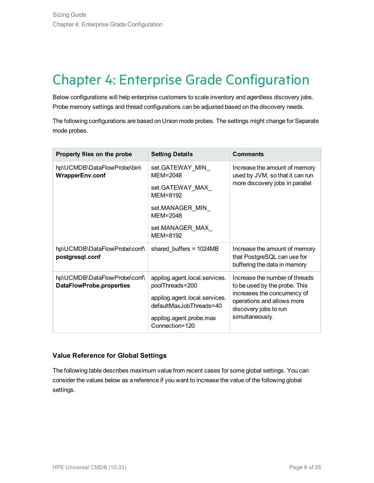## <span id="page-7-0"></span>Chapter 4: Enterprise Grade Configuration

Below configurations will help enterprise customers to scale inventory and agentless discovery jobs. Probe memory settings and thread configurations can be adjusted based on the discovery needs.

The following configurations are based on Union mode probes. The settings might change for Separate mode probes.

| Property files on the probe                              | <b>Setting Details</b>                                   | <b>Comments</b>                                                                              |  |
|----------------------------------------------------------|----------------------------------------------------------|----------------------------------------------------------------------------------------------|--|
| hp\UCMDB\DataFlowProbe\bin\<br>WrapperEnv.conf           | set.GATEWAY MIN<br>$MEM = 2048$                          | Increase the amount of memory<br>used by JVM, so that it can run                             |  |
|                                                          | set.GATEWAY_MAX_<br>MEM=8192                             | more discovery jobs in parallel                                                              |  |
|                                                          | set.MANAGER MIN<br>$MEM = 2048$                          |                                                                                              |  |
|                                                          | set.MANAGER MAX<br>MEM=8192                              |                                                                                              |  |
| hp\UCMDB\DataFlowProbe\conf\<br>postgresql.conf          | shared_buffers = $1024MB$                                | Increase the amount of memory<br>that PostgreSQL can use for<br>buffering the data in memory |  |
| hp\UCMDB\DataFlowProbe\conf\<br>DataFlowProbe.properties | appilog.agent.local.services.<br>poolThreads=200         | Increase the number of threads<br>to be used by the probe. This                              |  |
|                                                          | appilog.agent.local.services.<br>defaultMaxJobThreads=40 | increases the concurrency of<br>operations and allows more<br>discovery jobs to run          |  |
|                                                          | appilog.agent.probe.max<br>Connection=120                | simultaneously.                                                                              |  |

### **Value Reference for Global Settings**

The following table describes maximum value from recent cases for some global settings. You can consider the values below as a reference if you want to increase the value of the following global settings.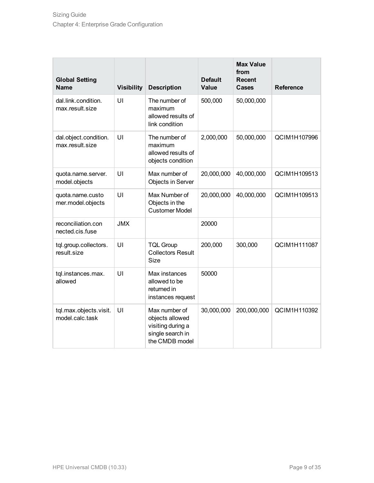| <b>Global Setting</b><br><b>Name</b>      | <b>Visibility</b> | <b>Description</b>                                                                          | <b>Default</b><br><b>Value</b> | <b>Max Value</b><br>from<br><b>Recent</b><br><b>Cases</b> | <b>Reference</b> |
|-------------------------------------------|-------------------|---------------------------------------------------------------------------------------------|--------------------------------|-----------------------------------------------------------|------------------|
| dal.link.condition.<br>max.result.size    | UI                | The number of<br>maximum<br>allowed results of<br>link condition                            | 500,000                        | 50,000,000                                                |                  |
| dal.object.condition.<br>max.result.size  | UI                | The number of<br>maximum<br>allowed results of<br>objects condition                         | 2,000,000                      | 50,000,000                                                | QCIM1H107996     |
| quota.name.server.<br>model.objects       | UI                | Max number of<br><b>Objects in Server</b>                                                   | 20,000,000                     | 40,000,000                                                | QCIM1H109513     |
| quota.name.custo<br>mer.model.objects     | UI                | Max Number of<br>Objects in the<br><b>Customer Model</b>                                    | 20,000,000                     | 40,000,000                                                | QCIM1H109513     |
| reconciliation.con<br>nected.cis.fuse     | <b>JMX</b>        |                                                                                             | 20000                          |                                                           |                  |
| tql.group.collectors.<br>result.size      | UI                | <b>TQL Group</b><br><b>Collectors Result</b><br><b>Size</b>                                 | 200,000                        | 300,000                                                   | QCIM1H111087     |
| tql.instances.max.<br>allowed             | UI                | Max instances<br>allowed to be<br>returned in<br>instances request                          | 50000                          |                                                           |                  |
| tql.max.objects.visit.<br>model.calc.task | UI                | Max number of<br>objects allowed<br>visiting during a<br>single search in<br>the CMDB model | 30,000,000                     | 200,000,000                                               | QCIM1H110392     |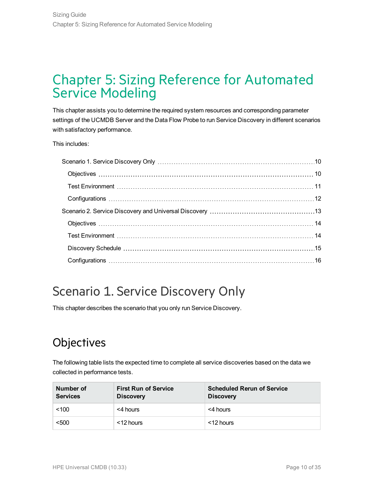## <span id="page-9-0"></span>Chapter 5: Sizing Reference for Automated Service Modeling

This chapter assists you to determine the required system resources and corresponding parameter settings of the UCMDB Server and the Data Flow Probe to run Service Discovery in different scenarios with satisfactory performance.

This includes:

## <span id="page-9-1"></span>Scenario 1. Service Discovery Only

<span id="page-9-2"></span>This chapter describes the scenario that you only run Service Discovery.

## **Objectives**

The following table lists the expected time to complete all service discoveries based on the data we collected in performance tests.

| Number of<br><b>Services</b> | <b>First Run of Service</b><br><b>Discovery</b> | <b>Scheduled Rerun of Service</b><br><b>Discovery</b> |
|------------------------------|-------------------------------------------------|-------------------------------------------------------|
| < 100                        | <4 hours                                        | <4 hours                                              |
| < 500                        | <12 hours                                       | <12 hours                                             |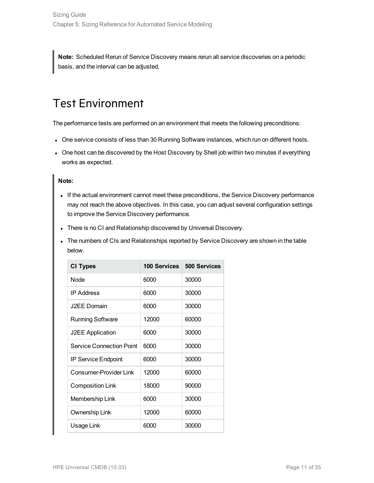<span id="page-10-0"></span>**Note:** Scheduled Rerun of Service Discovery means rerun all service discoveries on a periodic basis, and the interval can be adjusted.

## Test Environment

The performance tests are performed on an environment that meets the following preconditions:

- One service consists of less than 30 Running Software instances, which run on different hosts.
- One host can be discovered by the Host Discovery by Shell job within two minutes if everything works as expected.

### **Note:**

- If the actual environment cannot meet these preconditions, the Service Discovery performance may not reach the above objectives. In this case, you can adjust several configuration settings to improve the Service Discovery performance.
- There is no CI and Relationship discovered by Universal Discovery.
- The numbers of CIs and Relationships reported by Service Discovery are shown in the table below.

| <b>CI Types</b>                 | 100 Services | <b>500 Services</b> |
|---------------------------------|--------------|---------------------|
| Node                            | 6000         | 30000               |
| <b>IP Address</b>               | 6000         | 30000               |
| J2EE Domain                     | 6000         | 30000               |
| <b>Running Software</b>         | 12000        | 60000               |
| <b>J2EE Application</b>         | 6000         | 30000               |
| <b>Service Connection Point</b> | 6000         | 30000               |
| <b>IP Service Endpoint</b>      | 6000         | 30000               |
| Consumer-Provider Link          | 12000        | 60000               |
| <b>Composition Link</b>         | 18000        | 90000               |
| Membership Link                 | 6000         | 30000               |
| Ownership Link                  | 12000        | 60000               |
| Usage Link                      | 6000         | 30000               |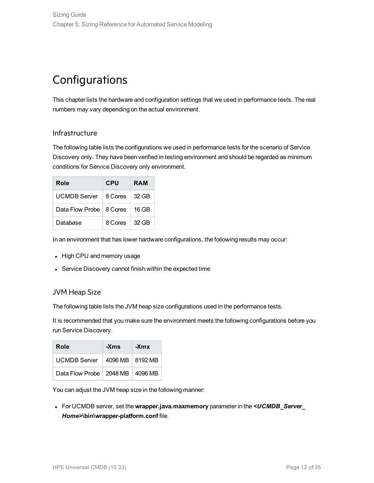## <span id="page-11-0"></span>Configurations

This chapter lists the hardware and configuration settings that we used in performance tests. The real numbers may vary depending on the actual environment.

### Infrastructure

The following table lists the configurations we used in performance tests for the scenario of Service Discovery only. They have been verified in testing environment and should be regarded as minimum conditions for Service Discovery only environment.

| Role                      | <b>CPU</b> | <b>RAM</b>    |
|---------------------------|------------|---------------|
| UCMDB Server              | 8 Cores    | 32 GB         |
| Data Flow Probe   8 Cores |            | 16 GB         |
| Database                  | 8 Cores    | $\perp$ 32 GB |

In an environment that has lower hardware configurations, the following results may occur:

- High CPU and memory usage
- Service Discovery cannot finish within the expected time

### JVM Heap Size

The following table lists the JVM heap size configurations used in the performance tests.

It is recommended that you make sure the environment meets the following configurations before you run Service Discovery.

| Role                                | -Xms | -Xmx |
|-------------------------------------|------|------|
| UCMDB Server   4096 MB   8192 MB    |      |      |
| Data Flow Probe   2048 MB   4096 MB |      |      |

You can adjust the JVM heap size in the following manner:

<sup>l</sup> For UCMDB server, set the **wrapper.java.maxmemory** parameter in the *<UCMDB\_Server\_ Home>***\bin\wrapper-platform.conf** file.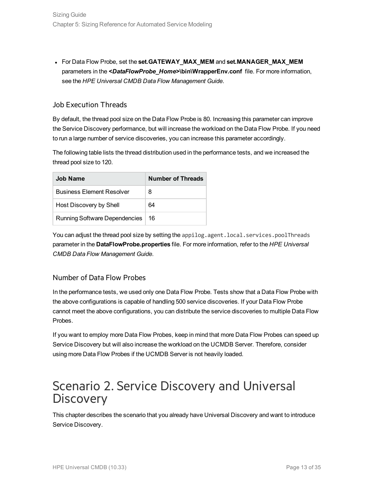<sup>l</sup> For Data Flow Probe, set the **set.GATEWAY\_MAX\_MEM** and **set.MANAGER\_MAX\_MEM** parameters in the *<DataFlowProbe\_Home>***\bin\WrapperEnv.conf** file. For more information, see the *HPE Universal CMDB Data Flow Management Guide*.

### Job Execution Threads

By default, the thread pool size on the Data Flow Probe is 80. Increasing this parameter can improve the Service Discovery performance, but will increase the workload on the Data Flow Probe. If you need to run a large number of service discoveries, you can increase this parameter accordingly.

The following table lists the thread distribution used in the performance tests, and we increased the thread pool size to 120.

| Job Name                             | Number of Threads |
|--------------------------------------|-------------------|
| <b>Business Element Resolver</b>     | 8                 |
| Host Discovery by Shell              | 64                |
| <b>Running Software Dependencies</b> | 16                |

You can adjust the thread pool size by setting the appilog.agent.local.services.poolThreads parameter in the **DataFlowProbe.properties** file. For more information, refer to the *HPE Universal CMDB Data Flow Management Guide*.

### Number of Data Flow Probes

In the performance tests, we used only one Data Flow Probe. Tests show that a Data Flow Probe with the above configurations is capable of handling 500 service discoveries. If your Data Flow Probe cannot meet the above configurations, you can distribute the service discoveries to multiple Data Flow Probes.

If you want to employ more Data Flow Probes, keep in mind that more Data Flow Probes can speed up Service Discovery but will also increase the workload on the UCMDB Server. Therefore, consider using more Data Flow Probes if the UCMDB Server is not heavily loaded.

## <span id="page-12-0"></span>Scenario 2. Service Discovery and Universal **Discovery**

This chapter describes the scenario that you already have Universal Discovery and want to introduce Service Discovery.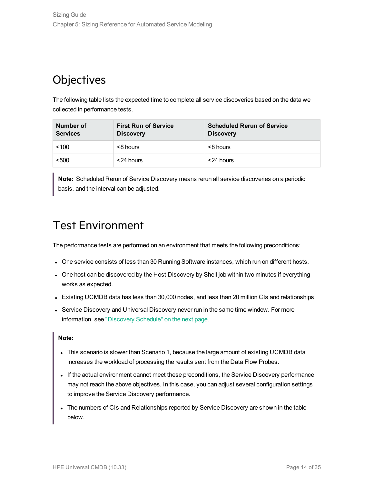## <span id="page-13-0"></span>**Objectives**

The following table lists the expected time to complete all service discoveries based on the data we collected in performance tests.

| Number of<br><b>Services</b> | <b>First Run of Service</b><br><b>Discovery</b> | <b>Scheduled Rerun of Service</b><br><b>Discovery</b> |
|------------------------------|-------------------------------------------------|-------------------------------------------------------|
| < 100                        | <8 hours                                        | <8 hours                                              |
| < 500                        | <24 hours                                       | <24 hours                                             |

<span id="page-13-1"></span>**Note:** Scheduled Rerun of Service Discovery means rerun all service discoveries on a periodic basis, and the interval can be adjusted.

### Test Environment

The performance tests are performed on an environment that meets the following preconditions:

- One service consists of less than 30 Running Software instances, which run on different hosts.
- One host can be discovered by the Host Discovery by Shell job within two minutes if everything works as expected.
- Existing UCMDB data has less than 30,000 nodes, and less than 20 million CIs and relationships.
- Service Discovery and Universal Discovery never run in the same time window. For more information, see ["Discovery](#page-14-0) Schedule" on the next page.

### **Note:**

- This scenario is slower than Scenario 1, because the large amount of existing UCMDB data increases the workload of processing the results sent from the Data Flow Probes.
- If the actual environment cannot meet these preconditions, the Service Discovery performance may not reach the above objectives. In this case, you can adjust several configuration settings to improve the Service Discovery performance.
- The numbers of CIs and Relationships reported by Service Discovery are shown in the table below.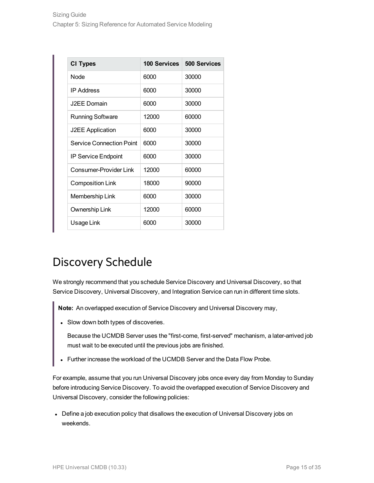| <b>CI Types</b>                 | <b>100 Services</b> | 500 Services |
|---------------------------------|---------------------|--------------|
| <b>Node</b>                     | 6000                | 30000        |
| <b>IP Address</b>               | 6000                | 30000        |
| J2FF Domain                     | 6000                | 30000        |
| <b>Running Software</b>         | 12000               | 60000        |
| <b>J2EE Application</b>         | 6000                | 30000        |
| <b>Service Connection Point</b> | 6000                | 30000        |
| <b>IP Service Endpoint</b>      | 6000                | 30000        |
| Consumer-Provider Link          | 12000               | 60000        |
| <b>Composition Link</b>         | 18000               | 90000        |
| Membership Link                 | 6000                | 30000        |
| Ownership Link                  | 12000               | 60000        |
| Usage Link                      | 6000                | 30000        |

## <span id="page-14-0"></span>Discovery Schedule

We strongly recommend that you schedule Service Discovery and Universal Discovery, so that Service Discovery, Universal Discovery, and Integration Service can run in different time slots.

**Note:** An overlapped execution of Service Discovery and Universal Discovery may,

• Slow down both types of discoveries.

Because the UCMDB Server uses the "first-come, first-served" mechanism, a later-arrived job must wait to be executed until the previous jobs are finished.

Further increase the workload of the UCMDB Server and the Data Flow Probe.

For example, assume that you run Universal Discovery jobs once every day from Monday to Sunday before introducing Service Discovery. To avoid the overlapped execution of Service Discovery and Universal Discovery, consider the following policies:

• Define a job execution policy that disallows the execution of Universal Discovery jobs on weekends.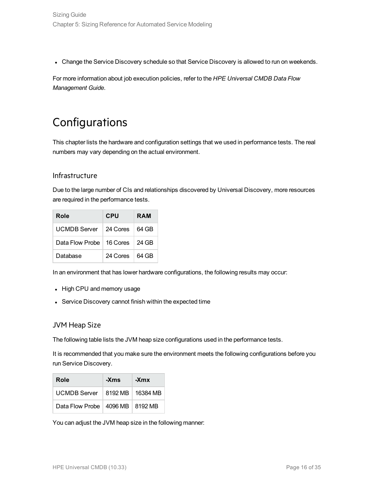• Change the Service Discovery schedule so that Service Discovery is allowed to run on weekends.

<span id="page-15-0"></span>For more information about job execution policies, refer to the *HPE Universal CMDB Data Flow Management Guide*.

## **Configurations**

This chapter lists the hardware and configuration settings that we used in performance tests. The real numbers may vary depending on the actual environment.

### Infrastructure

Due to the large number of CIs and relationships discovered by Universal Discovery, more resources are required in the performance tests.

| Role                       | <b>CPU</b> | RAM   |
|----------------------------|------------|-------|
| <b>UCMDB</b> Server        | 24 Cores   | 64 GB |
| Data Flow Probe   16 Cores |            | 24 GB |
| Database                   | 24 Cores   | 64 GB |

In an environment that has lower hardware configurations, the following results may occur:

- High CPU and memory usage
- Service Discovery cannot finish within the expected time

### JVM Heap Size

The following table lists the JVM heap size configurations used in the performance tests.

It is recommended that you make sure the environment meets the following configurations before you run Service Discovery.

| Role                                | -Xms | -Xmx |
|-------------------------------------|------|------|
| UCMDB Server   8192 MB   16384 MB   |      |      |
| Data Flow Probe   4096 MB   8192 MB |      |      |

You can adjust the JVM heap size in the following manner: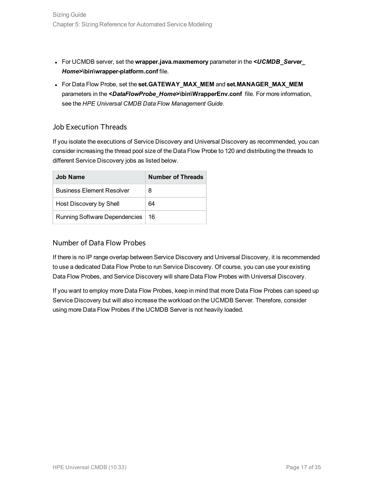- <sup>l</sup> For UCMDB server, set the **wrapper.java.maxmemory** parameter in the *<UCMDB\_Server\_ Home>***\bin\wrapper-platform.conf** file.
- <sup>l</sup> For Data Flow Probe, set the **set.GATEWAY\_MAX\_MEM** and **set.MANAGER\_MAX\_MEM** parameters in the *<DataFlowProbe\_Home>***\bin\WrapperEnv.conf** file. For more information, see the *HPE Universal CMDB Data Flow Management Guide*.

### Job Execution Threads

If you isolate the executions of Service Discovery and Universal Discovery as recommended, you can consider increasing the thread pool size of the Data Flow Probe to 120 and distributing the threads to different Service Discovery jobs as listed below.

| Job Name                             | <b>Number of Threads</b> |
|--------------------------------------|--------------------------|
| <b>Business Element Resolver</b>     | 8                        |
| Host Discovery by Shell              | 64                       |
| <b>Running Software Dependencies</b> | 16                       |

### Number of Data Flow Probes

If there is no IP range overlap between Service Discovery and Universal Discovery, it is recommended to use a dedicated Data Flow Probe to run Service Discovery. Of course, you can use your existing Data Flow Probes, and Service Discovery will share Data Flow Probes with Universal Discovery.

If you want to employ more Data Flow Probes, keep in mind that more Data Flow Probes can speed up Service Discovery but will also increase the workload on the UCMDB Server. Therefore, consider using more Data Flow Probes if the UCMDB Server is not heavily loaded.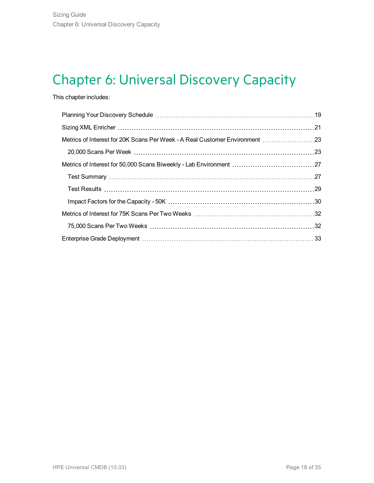## <span id="page-17-0"></span>Chapter 6: Universal Discovery Capacity

### This chapter includes:

| Metrics of Interest for 20K Scans Per Week - A Real Customer Environment 23 |  |
|-----------------------------------------------------------------------------|--|
|                                                                             |  |
|                                                                             |  |
|                                                                             |  |
|                                                                             |  |
|                                                                             |  |
|                                                                             |  |
|                                                                             |  |
|                                                                             |  |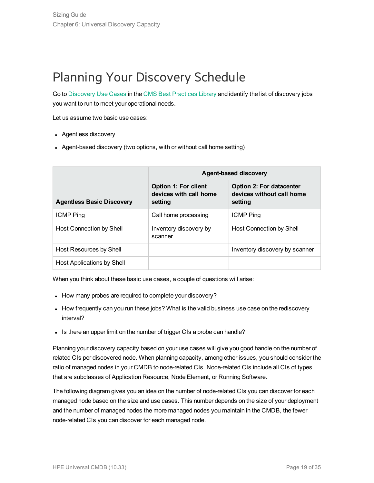## <span id="page-18-0"></span>Planning Your Discovery Schedule

Go to [Discovery](https://docs.software.hpe.com/UCMDB/CMSBP/Content/CMS_BP/CMSDiscUsecase.html) Use Cases in the CMS Best [Practices](https://docs.software.hpe.com/UCMDB/CMSBP/Content/CMS_BP/index.htm) Library and identify the list of discovery jobs you want to run to meet your operational needs.

Let us assume two basic use cases:

- Agentless discovery
- Agent-based discovery (two options, with or without call home setting)

|                                  | <b>Agent-based discovery</b>                              |                                                                         |  |
|----------------------------------|-----------------------------------------------------------|-------------------------------------------------------------------------|--|
| <b>Agentless Basic Discovery</b> | Option 1: For client<br>devices with call home<br>setting | <b>Option 2: For datacenter</b><br>devices without call home<br>setting |  |
| <b>ICMP Ping</b>                 | Call home processing                                      | <b>ICMP Ping</b>                                                        |  |
| Host Connection by Shell         | Inventory discovery by<br>scanner                         | Host Connection by Shell                                                |  |
| Host Resources by Shell          |                                                           | Inventory discovery by scanner                                          |  |
| Host Applications by Shell       |                                                           |                                                                         |  |

When you think about these basic use cases, a couple of questions will arise:

- How many probes are required to complete your discovery?
- How frequently can you run these jobs? What is the valid business use case on the rediscovery interval?
- Is there an upper limit on the number of trigger CIs a probe can handle?

Planning your discovery capacity based on your use cases will give you good handle on the number of related CIs per discovered node. When planning capacity, among other issues, you should consider the ratio of managed nodes in your CMDB to node-related CIs. Node-related CIs include all CIs of types that are subclasses of Application Resource, Node Element, or Running Software.

The following diagram gives you an idea on the number of node-related CIs you can discover for each managed node based on the size and use cases. This number depends on the size of your deployment and the number of managed nodes the more managed nodes you maintain in the CMDB, the fewer node-related CIs you can discover for each managed node.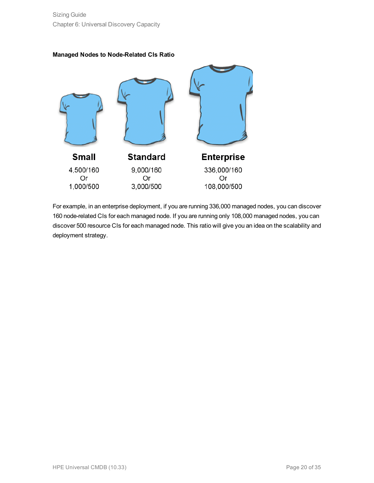



For example, in an enterprise deployment, if you are running 336,000 managed nodes, you can discover 160 node-related CIs for each managed node. If you are running only 108,000 managed nodes, you can discover 500 resource CIs for each managed node. This ratio will give you an idea on the scalability and deployment strategy.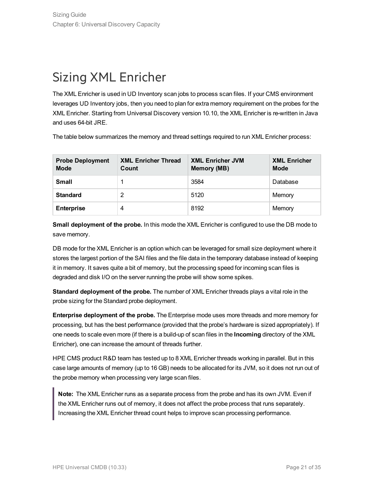## <span id="page-20-0"></span>Sizing XML Enricher

The XML Enricher is used in UD Inventory scan jobs to process scan files. If your CMS environment leverages UD Inventory jobs, then you need to plan for extra memory requirement on the probes for the XML Enricher. Starting from Universal Discovery version 10.10, the XML Enricher is re-written in Java and uses 64-bit JRE.

The table below summarizes the memory and thread settings required to run XML Enricher process:

| <b>Probe Deployment</b><br><b>Mode</b> | <b>XML Enricher Thread</b><br>Count | <b>XML Enricher JVM</b><br>Memory (MB) | <b>XML Enricher</b><br><b>Mode</b> |
|----------------------------------------|-------------------------------------|----------------------------------------|------------------------------------|
| <b>Small</b>                           |                                     | 3584                                   | Database                           |
| <b>Standard</b>                        | 2                                   | 5120                                   | Memory                             |
| <b>Enterprise</b>                      | 4                                   | 8192                                   | Memory                             |

**Small deployment of the probe.** In this mode the XML Enricher is configured to use the DB mode to save memory.

DB mode for the XML Enricher is an option which can be leveraged for small size deployment where it stores the largest portion of the SAI files and the file data in the temporary database instead of keeping it in memory. It saves quite a bit of memory, but the processing speed for incoming scan files is degraded and disk I/O on the server running the probe will show some spikes.

**Standard deployment of the probe.** The number of XML Enricher threads plays a vital role in the probe sizing for the Standard probe deployment.

**Enterprise deployment of the probe.** The Enterprise mode uses more threads and more memory for processing, but has the best performance (provided that the probe's hardware is sized appropriately). If one needs to scale even more (if there is a build-up of scan files in the **Incoming** directory of the XML Enricher), one can increase the amount of threads further.

HPE CMS product R&D team has tested up to 8 XML Enricher threads working in parallel. But in this case large amounts of memory (up to 16 GB) needs to be allocated for its JVM, so it does not run out of the probe memory when processing very large scan files.

**Note:** The XML Enricher runs as a separate process from the probe and has its own JVM. Even if the XML Enricher runs out of memory, it does not affect the probe process that runs separately. Increasing the XML Enricher thread count helps to improve scan processing performance.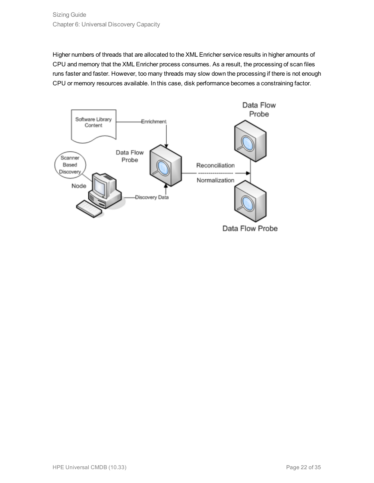Higher numbers of threads that are allocated to the XML Enricher service results in higher amounts of CPU and memory that the XML Enricher process consumes. As a result, the processing of scan files runs faster and faster. However, too many threads may slow down the processing if there is not enough CPU or memory resources available. In this case, disk performance becomes a constraining factor.



Data Flow Probe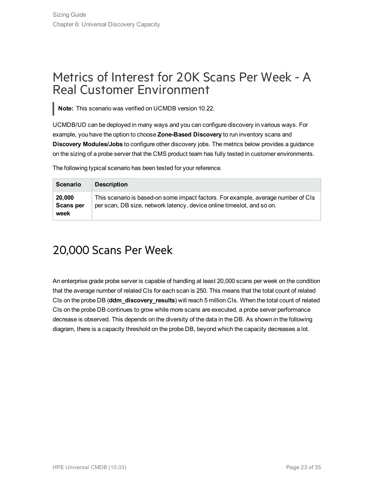## <span id="page-22-0"></span>Metrics of Interest for 20K Scans Per Week - A Real Customer Environment

**Note:** This scenario was verified on UCMDB version 10.22.

UCMDB/UD can be deployed in many ways and you can configure discovery in various ways. For example, you have the option to choose **Zone-Based Discovery** to run inventory scans and **Discovery Modules/Jobs** to configure other discovery jobs. The metrics below provides a guidance on the sizing of a probe server that the CMS product team has fully tested in customer environments.

The following typical scenario has been tested for your reference.

| <b>Scenario</b>             | <b>Description</b>                                                                                                                                          |
|-----------------------------|-------------------------------------------------------------------------------------------------------------------------------------------------------------|
| 20,000<br>Scans per<br>week | This scenario is based-on some impact factors. For example, average number of CIs<br>per scan, DB size, network latency, device online times ot, and so on. |

## <span id="page-22-1"></span>20,000 Scans Per Week

An enterprise grade probe server is capable of handling at least 20,000 scans per week on the condition that the average number of related CIs for each scan is 250. This means that the total count of related CIs on the probe DB (**ddm\_discovery\_results**) will reach 5 million CIs. When the total count of related CIs on the probe DB continues to grow while more scans are executed, a probe server performance decrease is observed. This depends on the diversity of the data in the DB. As shown in the following diagram, there is a capacity threshold on the probe DB, beyond which the capacity decreases a lot.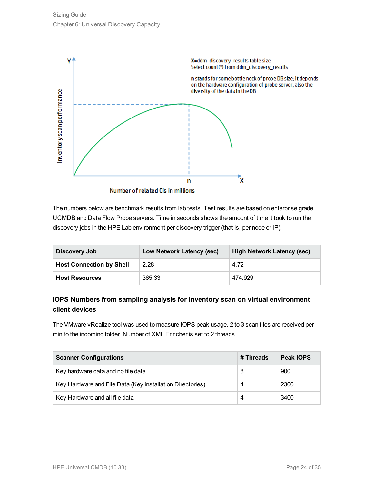

The numbers below are benchmark results from lab tests. Test results are based on enterprise grade UCMDB and Data Flow Probe servers. Time in seconds shows the amount of time it took to run the discovery jobs in the HPE Lab environment per discovery trigger (that is, per node or IP).

| Discovery Job                   | Low Network Latency (sec) | High Network Latency (sec) |
|---------------------------------|---------------------------|----------------------------|
| <b>Host Connection by Shell</b> | 2.28                      | 4.72                       |
| <b>Host Resources</b>           | 365.33                    | 474.929                    |

### **IOPS Numbers from sampling analysis for Inventory scan on virtual environment client devices**

The VMware vRealize tool was used to measure IOPS peak usage. 2 to 3 scan files are received per min to the incoming folder. Number of XML Enricher is set to 2 threads.

| <b>Scanner Configurations</b>                             | # Threads | Peak IOPS |
|-----------------------------------------------------------|-----------|-----------|
| Key hardware data and no file data                        | 8         | 900       |
| Key Hardware and File Data (Key installation Directories) | 4         | 2300      |
| Key Hardware and all file data                            | 4         | 3400      |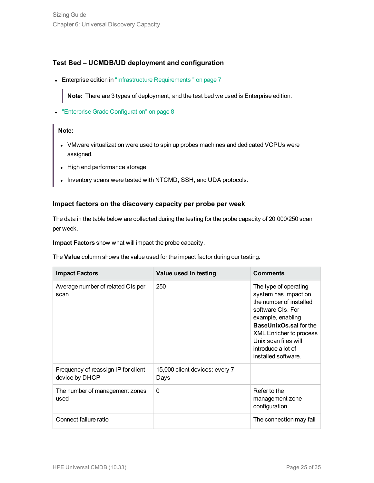### **Test Bed – UCMDB/UD deployment and configuration**

• Enterprise edition in ["Infrastructure](#page-6-0) Requirements " on page 7

**Note:** There are 3 types of deployment, and the test bed we used is Enterprise edition.

**- "Enterprise Grade [Configuration"](#page-7-0) on page 8** 

#### **Note:**

- VMware virtualization were used to spin up probes machines and dedicated VCPUs were assigned.
- High end performance storage
- Inventory scans were tested with NTCMD, SSH, and UDA protocols.

### **Impact factors on the discovery capacity per probe per week**

The data in the table below are collected during the testing for the probe capacity of 20,000/250 scan per week.

**Impact Factors** show what will impact the probe capacity.

The **Value** column shows the value used for the impact factor during our testing.

| <b>Impact Factors</b>                                 | Value used in testing                  | <b>Comments</b>                                                                                                                                                                                                                                            |
|-------------------------------------------------------|----------------------------------------|------------------------------------------------------------------------------------------------------------------------------------------------------------------------------------------------------------------------------------------------------------|
| Average number of related CIs per<br>scan             | 250                                    | The type of operating<br>system has impact on<br>the number of installed<br>software CIs. For<br>example, enabling<br><b>BaseUnixOs.sai for the</b><br><b>XML Enricher to process</b><br>Unix scan files will<br>introduce a lot of<br>installed software. |
| Frequency of reassign IP for client<br>device by DHCP | 15,000 client devices: every 7<br>Days |                                                                                                                                                                                                                                                            |
| The number of management zones<br>used                | $\Omega$                               | Refer to the<br>management zone<br>configuration.                                                                                                                                                                                                          |
| Connect failure ratio                                 |                                        | The connection may fail                                                                                                                                                                                                                                    |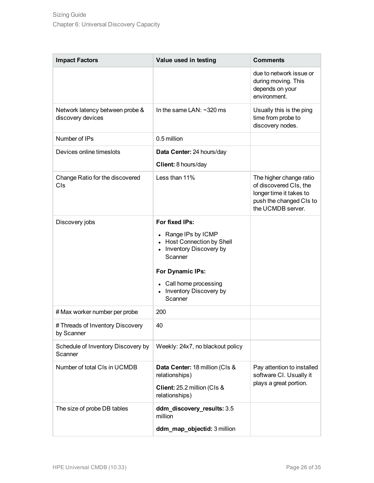| <b>Impact Factors</b>                                | Value used in testing                                                                                                                                                                           | <b>Comments</b>                                                                                                              |
|------------------------------------------------------|-------------------------------------------------------------------------------------------------------------------------------------------------------------------------------------------------|------------------------------------------------------------------------------------------------------------------------------|
|                                                      |                                                                                                                                                                                                 | due to network issue or<br>during moving. This<br>depends on your<br>environment.                                            |
| Network latency between probe &<br>discovery devices | In the same LAN: $\sim$ 320 ms                                                                                                                                                                  | Usually this is the ping<br>time from probe to<br>discovery nodes.                                                           |
| Number of IPs                                        | 0.5 million                                                                                                                                                                                     |                                                                                                                              |
| Devices online timeslots                             | Data Center: 24 hours/day<br>Client: 8 hours/day                                                                                                                                                |                                                                                                                              |
| Change Ratio for the discovered<br>CIs               | Less than 11%                                                                                                                                                                                   | The higher change ratio<br>of discovered CIs, the<br>longer time it takes to<br>push the changed CIs to<br>the UCMDB server. |
| Discovery jobs                                       | For fixed IPs:<br>• Range IPs by ICMP<br>• Host Connection by Shell<br>• Inventory Discovery by<br>Scanner<br>For Dynamic IPs:<br>• Call home processing<br>• Inventory Discovery by<br>Scanner |                                                                                                                              |
| # Max worker number per probe                        | 200                                                                                                                                                                                             |                                                                                                                              |
| # Threads of Inventory Discovery<br>by Scanner       | 40                                                                                                                                                                                              |                                                                                                                              |
| Schedule of Inventory Discovery by<br>Scanner        | Weekly: 24x7, no blackout policy                                                                                                                                                                |                                                                                                                              |
| Number of total CIs in UCMDB                         | Data Center: 18 million (CIs &<br>relationships)<br>Client: 25.2 million (Cls &<br>relationships)                                                                                               | Pay attention to installed<br>software CI. Usually it<br>plays a great portion.                                              |
| The size of probe DB tables                          | ddm_discovery_results: 3.5<br>million                                                                                                                                                           |                                                                                                                              |
|                                                      | ddm_map_objectid: 3 million                                                                                                                                                                     |                                                                                                                              |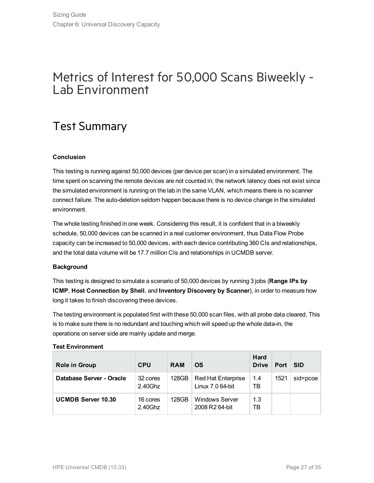## <span id="page-26-0"></span>Metrics of Interest for 50,000 Scans Biweekly - Lab Environment

## <span id="page-26-1"></span>Test Summary

### **Conclusion**

This testing is running against 50,000 devices (per device per scan) in a simulated environment. The time spent on scanning the remote devices are not counted in; the network latency does not exist since the simulated environment is running on the lab in the same VLAN, which means there is no scanner connect failure. The auto-deletion seldom happen because there is no device change in the simulated environment.

The whole testing finished in one week. Considering this result, it is confident that in a biweekly schedule, 50,000 devices can be scanned in a real customer environment, thus Data Flow Probe capacity can be increased to 50,000 devices, with each device contributing 360 CIs and relationships, and the total data volume will be 17.7 million CIs and relationships in UCMDB server.

### **Background**

This testing is designed to simulate a scenario of 50,000 devices by running 3 jobs (**Range IPs by ICMP**, **Host Connection by Shell**, and **Inventory Discovery by Scanner**), in order to measure how long it takes to finish discovering these devices.

The testing environment is populated first with these 50,000 scan files, with all probe data cleared. This is to make sure there is no redundant and touching which will speed up the whole data-in, the operations on server side are mainly update and merge.

### **Test Environment**

| <b>Role in Group</b>      | <b>CPU</b>          | <b>RAM</b> | <b>OS</b>                                     | <b>Hard</b><br><b>Drive</b> | Port | <b>SID</b> |
|---------------------------|---------------------|------------|-----------------------------------------------|-----------------------------|------|------------|
| Database Server - Oracle  | 32 cores<br>2.40Ghz | 128GB      | <b>Red Hat Enterprise</b><br>Linux 7.0 64-bit | 1.4<br>TB                   | 1521 | sid=pcoe   |
| <b>UCMDB Server 10.30</b> | 16 cores<br>2.40Ghz | 128GB      | <b>Windows Server</b><br>2008 R2 64-bit       | 1.3<br>ТB                   |      |            |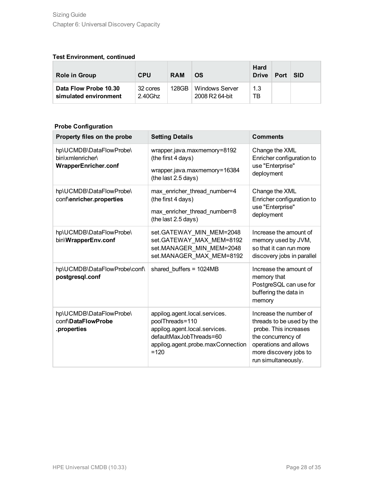### **Test Environment, continued**

| <b>Role in Group</b>                           | <b>CPU</b>          | <b>RAM</b> | OS                                                  | <b>Hard</b><br><b>Drive</b> | Port | <b>SID</b> |
|------------------------------------------------|---------------------|------------|-----------------------------------------------------|-----------------------------|------|------------|
| Data Flow Probe 10.30<br>simulated environment | 32 cores<br>2.40Ghz | 128GB      | <b>Windows Server</b><br>2008 R <sub>2</sub> 64-bit | 1.3<br>ТB                   |      |            |

### **Probe Configuration**

| Property files on the probe                                                | <b>Setting Details</b>                                                                                                                                      | <b>Comments</b>                                                                                                                                                              |
|----------------------------------------------------------------------------|-------------------------------------------------------------------------------------------------------------------------------------------------------------|------------------------------------------------------------------------------------------------------------------------------------------------------------------------------|
| hp\UCMDB\DataFlowProbe\<br>bin\xmlenricher\<br><b>WrapperEnricher.conf</b> | wrapper.java.maxmemory=8192<br>(the first 4 days)<br>wrapper.java.maxmemory=16384<br>(the last 2.5 days)                                                    | Change the XML<br>Enricher configuration to<br>use "Enterprise"<br>deployment                                                                                                |
| hp\UCMDB\DataFlowProbe\<br>conf\enricher.properties                        | max_enricher_thread_number=4<br>(the first 4 days)<br>max_enricher_thread_number=8<br>(the last 2.5 days)                                                   | Change the XML<br>Enricher configuration to<br>use "Enterprise"<br>deployment                                                                                                |
| hp\UCMDB\DataFlowProbe\<br>bin\WrapperEnv.conf                             | set.GATEWAY MIN MEM=2048<br>set.GATEWAY MAX MEM=8192<br>set.MANAGER_MIN_MEM=2048<br>set.MANAGER MAX MEM=8192                                                | Increase the amount of<br>memory used by JVM,<br>so that it can run more<br>discovery jobs in parallel                                                                       |
| hp\UCMDB\DataFlowProbe\conf\<br>postgresql.conf                            | shared buffers = 1024MB                                                                                                                                     | Increase the amount of<br>memory that<br>PostgreSQL can use for<br>buffering the data in<br>memory                                                                           |
| hp\UCMDB\DataFlowProbe\<br>conf\DataFlowProbe<br>.properties               | appilog.agent.local.services.<br>poolThreads=110<br>appilog.agent.local.services.<br>defaultMaxJobThreads=60<br>appilog.agent.probe.maxConnection<br>$=120$ | Increase the number of<br>threads to be used by the<br>probe. This increases<br>the concurrency of<br>operations and allows<br>more discovery jobs to<br>run simultaneously. |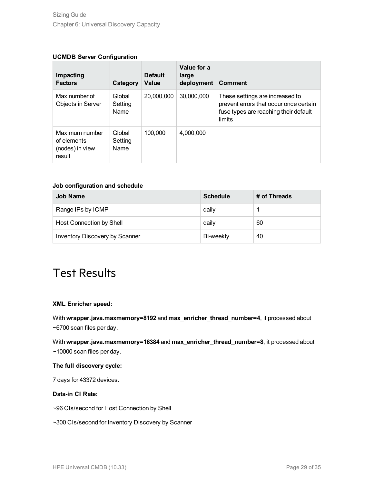### **UCMDB Server Configuration**

| Impacting<br><b>Factors</b>                                | Category                         | <b>Default</b><br>Value | Value for a<br>large<br>deployment | <b>Comment</b>                                                                                                               |
|------------------------------------------------------------|----------------------------------|-------------------------|------------------------------------|------------------------------------------------------------------------------------------------------------------------------|
| Max number of<br>Objects in Server                         | Global<br>Setting<br>Name        | 20,000,000              | 30,000,000                         | These settings are increased to<br>prevent errors that occur once certain<br>fuse types are reaching their default<br>limits |
| Maximum number<br>of elements<br>(nodes) in view<br>result | Global<br>Setting<br><b>Name</b> | 100,000                 | 4,000,000                          |                                                                                                                              |

#### **Job configuration and schedule**

| <b>Job Name</b>                 | <b>Schedule</b> | # of Threads |
|---------------------------------|-----------------|--------------|
| Range IPs by ICMP               | daily           |              |
| <b>Host Connection by Shell</b> | daily           | 60           |
| Inventory Discovery by Scanner  | Bi-weekly       | 40           |

### <span id="page-28-0"></span>Test Results

### **XML Enricher speed:**

With **wrapper.java.maxmemory=8192** and **max\_enricher\_thread\_number=4**, it processed about ~6700 scan files per day.

With **wrapper.java.maxmemory=16384** and **max\_enricher\_thread\_number=8**, it processed about ~10000 scan files per day.

#### **The full discovery cycle:**

7 days for 43372 devices.

### **Data-in CI Rate:**

~96 CIs/second for Host Connection by Shell

~300 CIs/second for Inventory Discovery by Scanner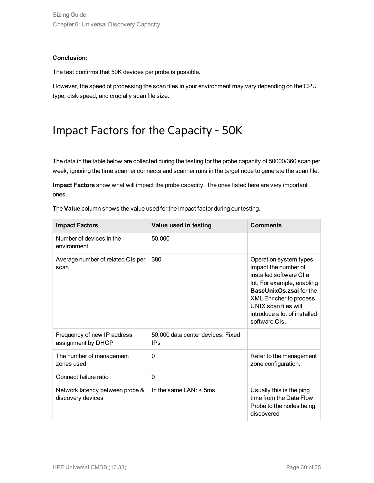### **Conclusion:**

The test confirms that 50K devices per probe is possible.

<span id="page-29-0"></span>However, the speed of processing the scan files in your environment may vary depending on the CPU type, disk speed, and crucially scan file size.

## Impact Factors for the Capacity - 50K

The data in the table below are collected during the testing for the probe capacity of 50000/360 scan per week, ignoring the time scanner connects and scanner runs in the target node to generate the scan file.

**Impact Factors** show what will impact the probe capacity. The ones listed here are very important ones.

| The Value column shows the value used for the impact factor during our testing. |  |
|---------------------------------------------------------------------------------|--|
|---------------------------------------------------------------------------------|--|

| <b>Impact Factors</b>                                | Value used in testing                                | <b>Comments</b>                                                                                                                                                                                                                              |  |  |
|------------------------------------------------------|------------------------------------------------------|----------------------------------------------------------------------------------------------------------------------------------------------------------------------------------------------------------------------------------------------|--|--|
| Number of devices in the<br>environment              | 50,000                                               |                                                                                                                                                                                                                                              |  |  |
| Average number of related CIs per<br>scan            | 380                                                  | Operation system types<br>impact the number of<br>installed software CLa<br>lot. For example, enabling<br>BaseUnixOs.zsai for the<br><b>XML Enricher to process</b><br>UNIX scan files will<br>introduce a lot of installed<br>software CIs. |  |  |
| Frequency of new IP address<br>assignment by DHCP    | 50,000 data center devices: Fixed<br>IP <sub>S</sub> |                                                                                                                                                                                                                                              |  |  |
| The number of management<br>zones used               | 0                                                    | Refer to the management<br>zone configuration.                                                                                                                                                                                               |  |  |
| Connect failure ratio                                | 0                                                    |                                                                                                                                                                                                                                              |  |  |
| Network latency between probe &<br>discovery devices | In the same $LAN: < 5ms$                             | Usually this is the ping<br>time from the Data Flow<br>Probe to the nodes being<br>discovered                                                                                                                                                |  |  |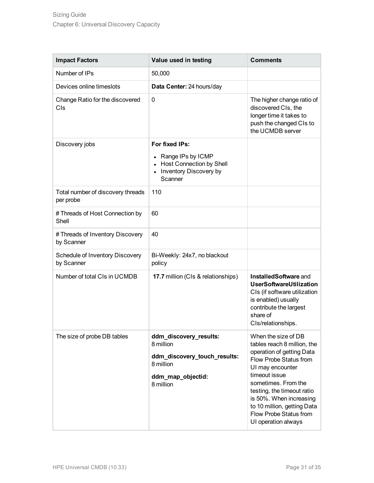| <b>Impact Factors</b>                          | Value used in testing                                                                                               | <b>Comments</b>                                                                                                                                                                                                                                                                                                |
|------------------------------------------------|---------------------------------------------------------------------------------------------------------------------|----------------------------------------------------------------------------------------------------------------------------------------------------------------------------------------------------------------------------------------------------------------------------------------------------------------|
| Number of IPs                                  | 50,000                                                                                                              |                                                                                                                                                                                                                                                                                                                |
| Devices online timeslots                       | Data Center: 24 hours/day                                                                                           |                                                                                                                                                                                                                                                                                                                |
| Change Ratio for the discovered<br>CIs         | 0                                                                                                                   | The higher change ratio of<br>discovered CIs, the<br>longer time it takes to<br>push the changed CIs to<br>the UCMDB server                                                                                                                                                                                    |
| Discovery jobs                                 | For fixed IPs:<br>Range IPs by ICMP<br>$\bullet$<br>• Host Connection by Shell<br>Inventory Discovery by<br>Scanner |                                                                                                                                                                                                                                                                                                                |
| Total number of discovery threads<br>per probe | 110                                                                                                                 |                                                                                                                                                                                                                                                                                                                |
| # Threads of Host Connection by<br>Shell       | 60                                                                                                                  |                                                                                                                                                                                                                                                                                                                |
| # Threads of Inventory Discovery<br>by Scanner | 40                                                                                                                  |                                                                                                                                                                                                                                                                                                                |
| Schedule of Inventory Discovery<br>by Scanner  | Bi-Weekly: 24x7, no blackout<br>policy                                                                              |                                                                                                                                                                                                                                                                                                                |
| Number of total CIs in UCMDB                   | 17.7 million (CIs & relationships)                                                                                  | InstalledSoftware and<br><b>UserSoftwareUtilization</b><br>CIs (if software utilization<br>is enabled) usually<br>contribute the largest<br>share of<br>CIs/relationships.                                                                                                                                     |
| The size of probe DB tables                    | ddm_discovery_results:<br>8 million<br>ddm_discovery_touch_results:<br>8 million<br>ddm_map_objectid:<br>8 million  | When the size of DB<br>tables reach 8 million, the<br>operation of getting Data<br>Flow Probe Status from<br>UI may encounter<br>timeout issue<br>sometimes. From the<br>testing, the timeout ratio<br>is 50%. When increasing<br>to 10 million, getting Data<br>Flow Probe Status from<br>UI operation always |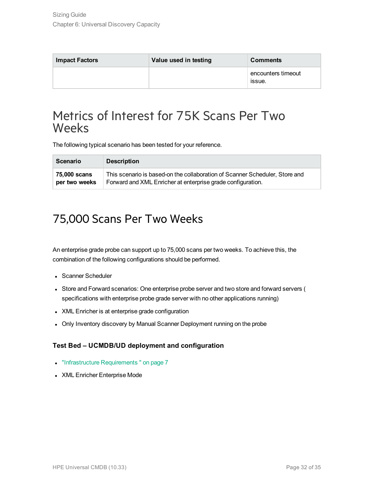| <b>Impact Factors</b> | Value used in testing | <b>Comments</b>              |  |  |
|-----------------------|-----------------------|------------------------------|--|--|
|                       |                       | encounters timeout<br>issue. |  |  |

### <span id="page-31-0"></span>Metrics of Interest for 75K Scans Per Two **Weeks**

The following typical scenario has been tested for your reference.

| <b>Scenario</b> | <b>Description</b>                                                          |
|-----------------|-----------------------------------------------------------------------------|
| ∣ 75.000 scans  | This scenario is based-on the collaboration of Scanner Scheduler, Store and |
| per two weeks   | Forward and XML Enricher at enterprise grade configuration.                 |

### <span id="page-31-1"></span>75,000 Scans Per Two Weeks

An enterprise grade probe can support up to 75,000 scans per two weeks. To achieve this, the combination of the following configurations should be performed.

- Scanner Scheduler
- Store and Forward scenarios: One enterprise probe server and two store and forward servers ( specifications with enterprise probe grade server with no other applications running)
- XML Enricher is at enterprise grade configuration
- Only Inventory discovery by Manual Scanner Deployment running on the probe

### **Test Bed – UCMDB/UD deployment and configuration**

- ["Infrastructure](#page-6-0) Requirements" on page 7
- XML Enricher Enterprise Mode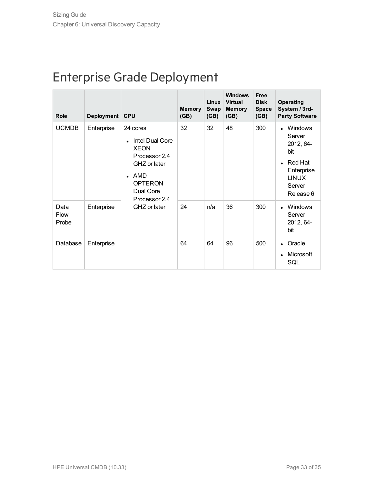## <span id="page-32-0"></span>Enterprise Grade Deployment

| <b>Role</b>                  | Deployment CPU |                                                                                                                                                    | <b>Memory</b><br>(GB) | <b>Linux</b><br><b>Swap</b><br>(GB) | <b>Windows</b><br><b>Virtual</b><br><b>Memory</b><br>(GB) | <b>Free</b><br><b>Disk</b><br><b>Space</b><br>(GB) | <b>Operating</b><br>System / 3rd-<br><b>Party Software</b>                                                          |
|------------------------------|----------------|----------------------------------------------------------------------------------------------------------------------------------------------------|-----------------------|-------------------------------------|-----------------------------------------------------------|----------------------------------------------------|---------------------------------------------------------------------------------------------------------------------|
| <b>UCMDB</b>                 | Enterprise     | 24 cores<br>Intel Dual Core<br><b>XEON</b><br>Processor 2.4<br>GHZ or later<br>AMD<br><b>OPTERON</b><br>Dual Core<br>Processor 2.4<br>GHZ or later | 32                    | 32                                  | 48                                                        | 300                                                | <b>Windows</b><br>Server<br>2012, 64-<br>bit<br><b>Red Hat</b><br>Enterprise<br><b>LINUX</b><br>Server<br>Release 6 |
| Data<br><b>Flow</b><br>Probe | Enterprise     |                                                                                                                                                    | 24                    | n/a                                 | 36                                                        | 300                                                | <b>Windows</b><br>Server<br>2012, 64-<br>bit                                                                        |
| Database                     | Enterprise     |                                                                                                                                                    | 64                    | 64                                  | 96                                                        | 500                                                | Oracle<br>Microsoft<br>SQL                                                                                          |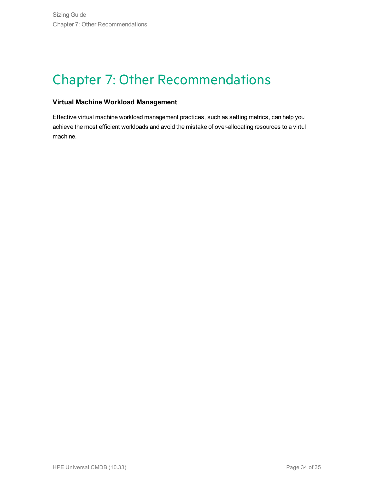# <span id="page-33-0"></span>Chapter 7: Other Recommendations

### **Virtual Machine Workload Management**

Effective virtual machine workload management practices, such as setting metrics, can help you achieve the most efficient workloads and avoid the mistake of over-allocating resources to a virtul machine.